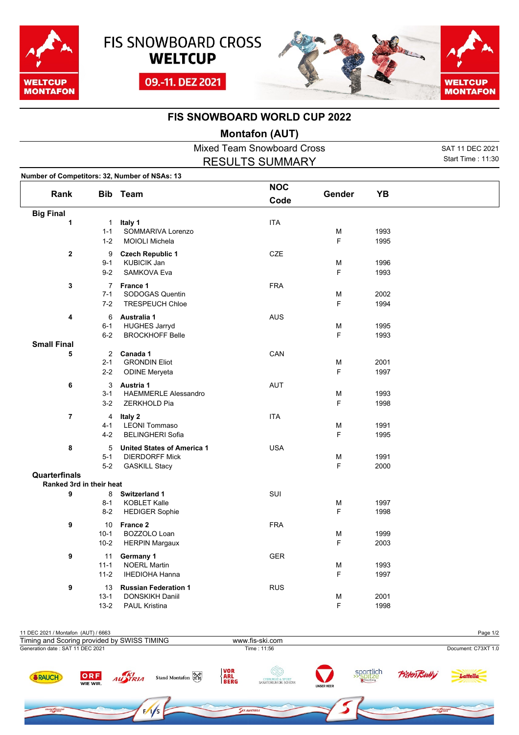





## **FIS SNOWBOARD WORLD CUP 2022**

## **Montafon (AUT)**

Mixed Team Snowboard Cross SAT 11 DEC 2021 RESULTS SUMMARY

Start Time : 11:30

| Number of Competitors: 32, Number of NSAs: 13 |                |                                                            |                    |        |      |  |
|-----------------------------------------------|----------------|------------------------------------------------------------|--------------------|--------|------|--|
| Rank                                          |                | <b>Bib Team</b>                                            | <b>NOC</b><br>Code | Gender | YB   |  |
| <b>Big Final</b>                              |                |                                                            |                    |        |      |  |
| 1                                             | $\mathbf{1}$   | Italy 1                                                    | <b>ITA</b>         |        |      |  |
|                                               | $1 - 1$        | SOMMARIVA Lorenzo                                          |                    | M      | 1993 |  |
|                                               | $1 - 2$        | <b>MOIOLI Michela</b>                                      |                    | F      | 1995 |  |
| $\mathbf 2$                                   | 9              | <b>Czech Republic 1</b>                                    | <b>CZE</b>         |        |      |  |
|                                               | $9 - 1$        | <b>KUBICIK Jan</b>                                         |                    | M      | 1996 |  |
|                                               | $9 - 2$        | <b>SAMKOVA Eva</b>                                         |                    | F      | 1993 |  |
| 3                                             | $\overline{7}$ | France 1                                                   | <b>FRA</b>         |        |      |  |
|                                               | $7 - 1$        | SODOGAS Quentin                                            |                    | M      | 2002 |  |
|                                               | $7 - 2$        | <b>TRESPEUCH Chloe</b>                                     |                    | F      | 1994 |  |
|                                               |                |                                                            |                    |        |      |  |
| 4                                             | 6<br>$6 - 1$   | Australia 1<br><b>HUGHES Jarryd</b>                        | <b>AUS</b>         | М      | 1995 |  |
|                                               | $6 - 2$        | <b>BROCKHOFF Belle</b>                                     |                    | F      | 1993 |  |
| <b>Small Final</b>                            |                |                                                            |                    |        |      |  |
| 5                                             | $\overline{2}$ | Canada 1                                                   | CAN                |        |      |  |
|                                               | $2 - 1$        | <b>GRONDIN Eliot</b>                                       |                    | M      | 2001 |  |
|                                               | $2 - 2$        | <b>ODINE Meryeta</b>                                       |                    | F      | 1997 |  |
| 6                                             | 3              | Austria 1                                                  | <b>AUT</b>         |        |      |  |
|                                               | $3 - 1$        | <b>HAEMMERLE Alessandro</b>                                |                    | M      | 1993 |  |
|                                               | $3 - 2$        | ZERKHOLD Pia                                               |                    | F      | 1998 |  |
| $\overline{\mathbf{r}}$                       | $\overline{4}$ | Italy 2                                                    | <b>ITA</b>         |        |      |  |
|                                               | $4 - 1$        | <b>LEONI Tommaso</b>                                       |                    | M      | 1991 |  |
|                                               | $4 - 2$        | <b>BELINGHERI Sofia</b>                                    |                    | F      | 1995 |  |
|                                               |                |                                                            |                    |        |      |  |
| 8                                             | 5<br>$5 - 1$   | <b>United States of America 1</b><br><b>DIERDORFF Mick</b> | <b>USA</b>         | M      | 1991 |  |
|                                               | $5-2$          | <b>GASKILL Stacy</b>                                       |                    | F      | 2000 |  |
| <b>Quarterfinals</b>                          |                |                                                            |                    |        |      |  |
| Ranked 3rd in their heat                      |                |                                                            |                    |        |      |  |
| 9                                             | 8              | <b>Switzerland 1</b>                                       | SUI                |        |      |  |
|                                               | $8 - 1$        | <b>KOBLET Kalle</b>                                        |                    | M      | 1997 |  |
|                                               | $8 - 2$        | <b>HEDIGER Sophie</b>                                      |                    | F      | 1998 |  |
| 9                                             | 10             | France 2                                                   | <b>FRA</b>         |        |      |  |
|                                               | $10-1$         | BOZZOLO Loan                                               |                    | M      | 1999 |  |
|                                               | $10 - 2$       | <b>HERPIN Margaux</b>                                      |                    | F      | 2003 |  |
| 9                                             | 11             | Germany 1                                                  | <b>GER</b>         |        |      |  |
|                                               | $11 - 1$       | <b>NOERL Martin</b>                                        |                    | M      | 1993 |  |
|                                               | $11 - 2$       | <b>IHEDIOHA Hanna</b>                                      |                    | F      | 1997 |  |
| 9                                             | 13             | <b>Russian Federation 1</b>                                | <b>RUS</b>         |        |      |  |
|                                               | $13 - 1$       | DONSKIKH Daniil                                            |                    | M      | 2001 |  |
|                                               | $13 - 2$       | <b>PAUL Kristina</b>                                       |                    | F      | 1998 |  |
|                                               |                |                                                            |                    |        |      |  |